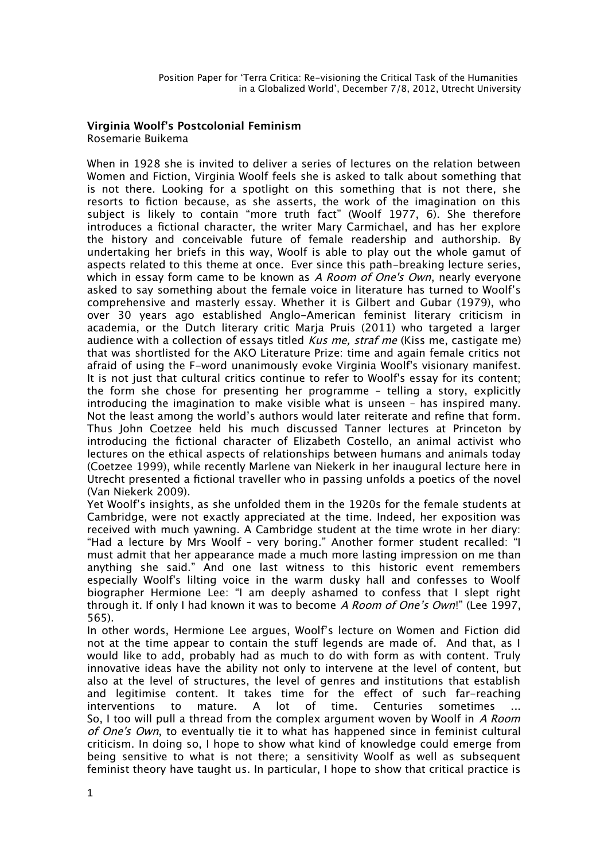## **Virginia Woolf's Postcolonial Feminism** Rosemarie Buikema

When in 1928 she is invited to deliver a series of lectures on the relation between Women and Fiction, Virginia Woolf feels she is asked to talk about something that is not there. Looking for a spotlight on this something that is not there, she resorts to fiction because, as she asserts, the work of the imagination on this subject is likely to contain "more truth fact" (Woolf 1977, 6). She therefore introduces a fctional character, the writer Mary Carmichael, and has her explore the history and conceivable future of female readership and authorship. By undertaking her briefs in this way, Woolf is able to play out the whole gamut of aspects related to this theme at once. Ever since this path-breaking lecture series, which in essay form came to be known as A Room of One's Own, nearly everyone asked to say something about the female voice in literature has turned to Woolf's comprehensive and masterly essay. Whether it is Gilbert and Gubar (1979), who over 30 years ago established Anglo-American feminist literary criticism in academia, or the Dutch literary critic Marja Pruis (2011) who targeted a larger audience with a collection of essays titled Kus me, straf me (Kiss me, castigate me) that was shortlisted for the AKO Literature Prize: time and again female critics not afraid of using the F-word unanimously evoke Virginia Woolf's visionary manifest. It is not just that cultural critics continue to refer to Woolf's essay for its content; the form she chose for presenting her programme – telling a story, explicitly introducing the imagination to make visible what is unseen – has inspired many. Not the least among the world's authors would later reiterate and refne that form. Thus John Coetzee held his much discussed Tanner lectures at Princeton by introducing the fctional character of Elizabeth Costello, an animal activist who lectures on the ethical aspects of relationships between humans and animals today (Coetzee 1999), while recently Marlene van Niekerk in her inaugural lecture here in Utrecht presented a fctional traveller who in passing unfolds a poetics of the novel (Van Niekerk 2009).

Yet Woolf's insights, as she unfolded them in the 1920s for the female students at Cambridge, were not exactly appreciated at the time. Indeed, her exposition was received with much yawning. A Cambridge student at the time wrote in her diary: "Had a lecture by Mrs Woolf – very boring." Another former student recalled: "I must admit that her appearance made a much more lasting impression on me than anything she said." And one last witness to this historic event remembers especially Woolf's lilting voice in the warm dusky hall and confesses to Woolf biographer Hermione Lee: "I am deeply ashamed to confess that I slept right through it. If only I had known it was to become A Room of One's Own!" (Lee 1997, 565).

In other words, Hermione Lee argues, Woolf's lecture on Women and Fiction did not at the time appear to contain the stuff legends are made of. And that, as I would like to add, probably had as much to do with form as with content. Truly innovative ideas have the ability not only to intervene at the level of content, but also at the level of structures, the level of genres and institutions that establish and legitimise content. It takes time for the efect of such far-reaching interventions to mature. A lot of time. Centuries sometimes ... So, I too will pull a thread from the complex argument woven by Woolf in A Room of One's Own, to eventually tie it to what has happened since in feminist cultural criticism. In doing so, I hope to show what kind of knowledge could emerge from being sensitive to what is not there; a sensitivity Woolf as well as subsequent feminist theory have taught us. In particular, I hope to show that critical practice is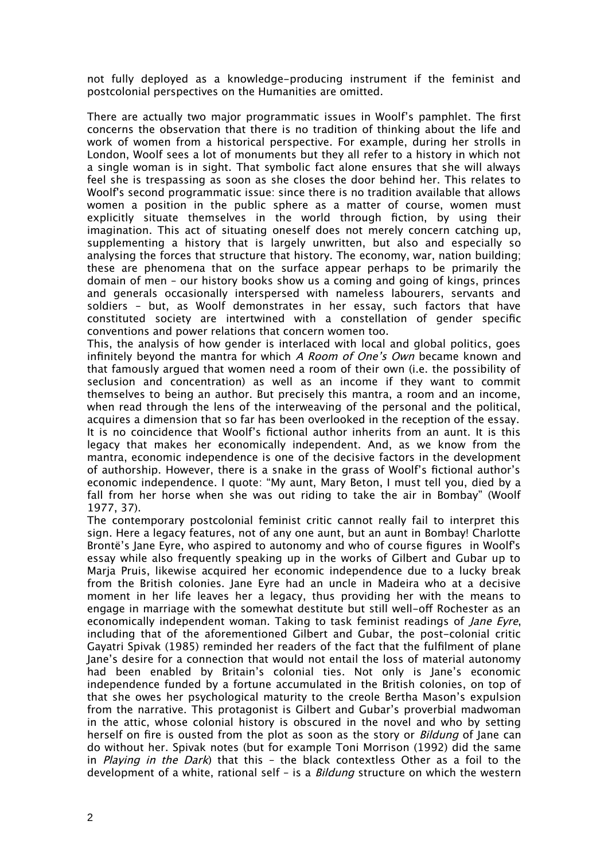not fully deployed as a knowledge-producing instrument if the feminist and postcolonial perspectives on the Humanities are omitted.

There are actually two major programmatic issues in Woolf's pamphlet. The frst concerns the observation that there is no tradition of thinking about the life and work of women from a historical perspective. For example, during her strolls in London, Woolf sees a lot of monuments but they all refer to a history in which not a single woman is in sight. That symbolic fact alone ensures that she will always feel she is trespassing as soon as she closes the door behind her. This relates to Woolf's second programmatic issue: since there is no tradition available that allows women a position in the public sphere as a matter of course, women must explicitly situate themselves in the world through fiction, by using their imagination. This act of situating oneself does not merely concern catching up, supplementing a history that is largely unwritten, but also and especially so analysing the forces that structure that history. The economy, war, nation building; these are phenomena that on the surface appear perhaps to be primarily the domain of men – our history books show us a coming and going of kings, princes and generals occasionally interspersed with nameless labourers, servants and soldiers – but, as Woolf demonstrates in her essay, such factors that have constituted society are intertwined with a constellation of gender specifc conventions and power relations that concern women too.

This, the analysis of how gender is interlaced with local and global politics, goes infinitely beyond the mantra for which A Room of One's Own became known and that famously argued that women need a room of their own (i.e. the possibility of seclusion and concentration) as well as an income if they want to commit themselves to being an author. But precisely this mantra, a room and an income, when read through the lens of the interweaving of the personal and the political, acquires a dimension that so far has been overlooked in the reception of the essay. It is no coincidence that Woolf's fctional author inherits from an aunt. It is this legacy that makes her economically independent. And, as we know from the mantra, economic independence is one of the decisive factors in the development of authorship. However, there is a snake in the grass of Woolf's fctional author's economic independence. I quote: "My aunt, Mary Beton, I must tell you, died by a fall from her horse when she was out riding to take the air in Bombay" (Woolf 1977, 37).

The contemporary postcolonial feminist critic cannot really fail to interpret this sign. Here a legacy features, not of any one aunt, but an aunt in Bombay! Charlotte Brontë's Jane Eyre, who aspired to autonomy and who of course fgures in Woolf's essay while also frequently speaking up in the works of Gilbert and Gubar up to Marja Pruis, likewise acquired her economic independence due to a lucky break from the British colonies. Jane Eyre had an uncle in Madeira who at a decisive moment in her life leaves her a legacy, thus providing her with the means to engage in marriage with the somewhat destitute but still well-off Rochester as an economically independent woman. Taking to task feminist readings of *lane Eyre*, including that of the aforementioned Gilbert and Gubar, the post-colonial critic Gayatri Spivak (1985) reminded her readers of the fact that the fulflment of plane Jane's desire for a connection that would not entail the loss of material autonomy had been enabled by Britain's colonial ties. Not only is Jane's economic independence funded by a fortune accumulated in the British colonies, on top of that she owes her psychological maturity to the creole Bertha Mason's expulsion from the narrative. This protagonist is Gilbert and Gubar's proverbial madwoman in the attic, whose colonial history is obscured in the novel and who by setting herself on fire is ousted from the plot as soon as the story or *Bildung* of Jane can do without her. Spivak notes (but for example Toni Morrison (1992) did the same in *Playing in the Dark*) that this - the black contextless Other as a foil to the development of a white, rational self – is a *Bildung* structure on which the western